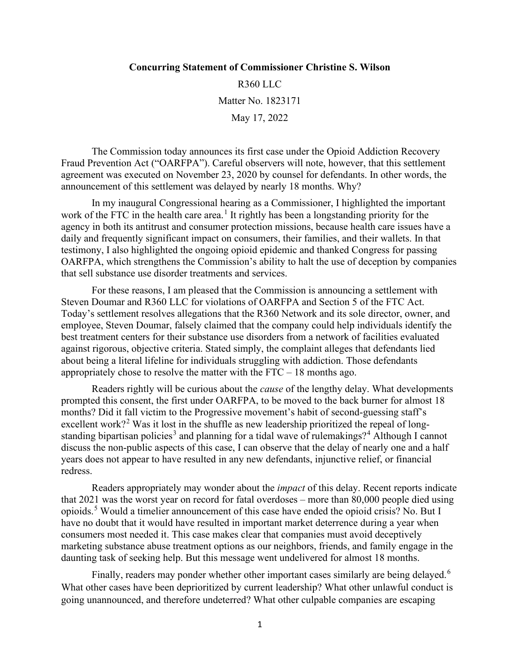## **Concurring Statement of Commissioner Christine S. Wilson**

R360 LLC Matter No. 1823171 May 17, 2022

The Commission today announces its first case under the Opioid Addiction Recovery Fraud Prevention Act ("OARFPA"). Careful observers will note, however, that this settlement agreement was executed on November 23, 2020 by counsel for defendants. In other words, the announcement of this settlement was delayed by nearly 18 months. Why?

In my inaugural Congressional hearing as a Commissioner, I highlighted the important work of the FTC in the health care area.<sup>[1](#page-1-0)</sup> It rightly has been a longstanding priority for the agency in both its antitrust and consumer protection missions, because health care issues have a daily and frequently significant impact on consumers, their families, and their wallets. In that testimony, I also highlighted the ongoing opioid epidemic and thanked Congress for passing OARFPA, which strengthens the Commission's ability to halt the use of deception by companies that sell substance use disorder treatments and services.

For these reasons, I am pleased that the Commission is announcing a settlement with Steven Doumar and R360 LLC for violations of OARFPA and Section 5 of the FTC Act. Today's settlement resolves allegations that the R360 Network and its sole director, owner, and employee, Steven Doumar, falsely claimed that the company could help individuals identify the best treatment centers for their substance use disorders from a network of facilities evaluated against rigorous, objective criteria. Stated simply, the complaint alleges that defendants lied about being a literal lifeline for individuals struggling with addiction. Those defendants appropriately chose to resolve the matter with the  $FTC - 18$  months ago.

Readers rightly will be curious about the *cause* of the lengthy delay. What developments prompted this consent, the first under OARFPA, to be moved to the back burner for almost 18 months? Did it fall victim to the Progressive movement's habit of second-guessing staff's excellent work?<sup>[2](#page-1-1)</sup> Was it lost in the shuffle as new leadership prioritized the repeal of long-standing bipartisan policies<sup>[3](#page-2-0)</sup> and planning for a tidal wave of rulemakings?<sup>[4](#page-2-1)</sup> Although I cannot discuss the non-public aspects of this case, I can observe that the delay of nearly one and a half years does not appear to have resulted in any new defendants, injunctive relief, or financial redress.

Readers appropriately may wonder about the *impact* of this delay. Recent reports indicate that 2021 was the worst year on record for fatal overdoses – more than 80,000 people died using opioids.<sup>[5](#page-2-2)</sup> Would a timelier announcement of this case have ended the opioid crisis? No. But I have no doubt that it would have resulted in important market deterrence during a year when consumers most needed it. This case makes clear that companies must avoid deceptively marketing substance abuse treatment options as our neighbors, friends, and family engage in the daunting task of seeking help. But this message went undelivered for almost 18 months.

Finally, readers may ponder whether other important cases similarly are being delayed.<sup>[6](#page-3-0)</sup> What other cases have been deprioritized by current leadership? What other unlawful conduct is going unannounced, and therefore undeterred? What other culpable companies are escaping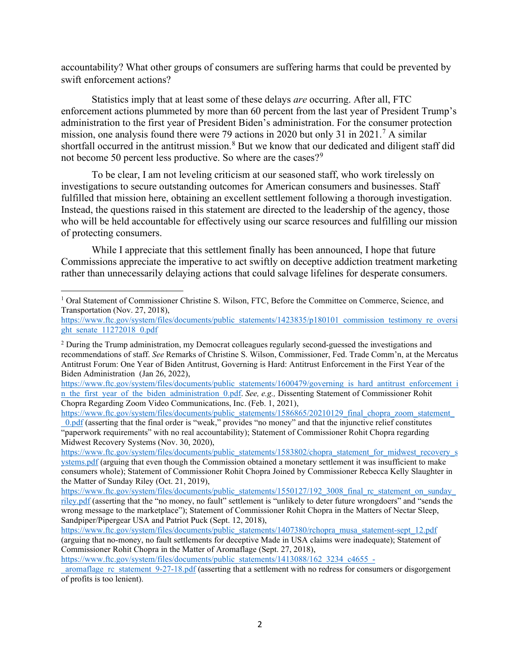accountability? What other groups of consumers are suffering harms that could be prevented by swift enforcement actions?

Statistics imply that at least some of these delays *are* occurring. After all, FTC enforcement actions plummeted by more than 60 percent from the last year of President Trump's administration to the first year of President Biden's administration. For the consumer protection mission, one analysis found there were 79 actions in 2020 but only 31 in 2021.[7](#page-3-1) A similar shortfall occurred in the antitrust mission.<sup>[8](#page-3-2)</sup> But we know that our dedicated and diligent staff did not become 50 percent less productive. So where are the cases?<sup>[9](#page-3-3)</sup>

To be clear, I am not leveling criticism at our seasoned staff, who work tirelessly on investigations to secure outstanding outcomes for American consumers and businesses. Staff fulfilled that mission here, obtaining an excellent settlement following a thorough investigation. Instead, the questions raised in this statement are directed to the leadership of the agency, those who will be held accountable for effectively using our scarce resources and fulfilling our mission of protecting consumers.

While I appreciate that this settlement finally has been announced, I hope that future Commissions appreciate the imperative to act swiftly on deceptive addiction treatment marketing rather than unnecessarily delaying actions that could salvage lifelines for desperate consumers.

[https://www.ftc.gov/system/files/documents/public\\_statements/1413088/162\\_3234\\_c4655\\_-](https://www.ftc.gov/system/files/documents/public_statements/1413088/162_3234_c4655_-_aromaflage_rc_statement_9-27-18.pdf)

<span id="page-1-0"></span><sup>&</sup>lt;sup>1</sup> Oral Statement of Commissioner Christine S. Wilson, FTC, Before the Committee on Commerce, Science, and Transportation (Nov. 27, 2018),

[https://www.ftc.gov/system/files/documents/public\\_statements/1423835/p180101\\_commission\\_testimony\\_re\\_oversi](https://www.ftc.gov/system/files/documents/public_statements/1423835/p180101_commission_testimony_re_oversight_senate_11272018_0.pdf) [ght\\_senate\\_11272018\\_0.pdf](https://www.ftc.gov/system/files/documents/public_statements/1423835/p180101_commission_testimony_re_oversight_senate_11272018_0.pdf)

<span id="page-1-1"></span><sup>&</sup>lt;sup>2</sup> During the Trump administration, my Democrat colleagues regularly second-guessed the investigations and recommendations of staff. *See* Remarks of Christine S. Wilson, Commissioner, Fed. Trade Comm'n, at the Mercatus Antitrust Forum: One Year of Biden Antitrust, Governing is Hard: Antitrust Enforcement in the First Year of the Biden Administration (Jan 26, 2022),

[https://www.ftc.gov/system/files/documents/public\\_statements/1600479/governing\\_is\\_hard\\_antitrust\\_enforcement\\_i](https://www.ftc.gov/system/files/documents/public_statements/1600479/governing_is_hard_antitrust_enforcement_in_the_first_year_of_the_biden_administration_0.pdf) [n\\_the\\_first\\_year\\_of\\_the\\_biden\\_administration\\_0.pdf.](https://www.ftc.gov/system/files/documents/public_statements/1600479/governing_is_hard_antitrust_enforcement_in_the_first_year_of_the_biden_administration_0.pdf) *See, e.g.*, Dissenting Statement of Commissioner Rohit Chopra Regarding Zoom Video Communications, Inc. (Feb. 1, 2021),

https://www.ftc.gov/system/files/documents/public\_statements/1586865/20210129\_final\_chopra\_zoom\_statement [\\_0.pdf](https://www.ftc.gov/system/files/documents/public_statements/1586865/20210129_final_chopra_zoom_statement__0.pdf) (asserting that the final order is "weak," provides "no money" and that the injunctive relief constitutes "paperwork requirements" with no real accountability); Statement of Commissioner Rohit Chopra regarding Midwest Recovery Systems (Nov. 30, 2020),

[https://www.ftc.gov/system/files/documents/public\\_statements/1583802/chopra\\_statement\\_for\\_midwest\\_recovery\\_s](https://www.ftc.gov/system/files/documents/public_statements/1583802/chopra_statement_for_midwest_recovery_systems.pdf) [ystems.pdf](https://www.ftc.gov/system/files/documents/public_statements/1583802/chopra_statement_for_midwest_recovery_systems.pdf) (arguing that even though the Commission obtained a monetary settlement it was insufficient to make consumers whole); Statement of Commissioner Rohit Chopra Joined by Commissioner Rebecca Kelly Slaughter in the Matter of Sunday Riley (Oct. 21, 2019),

https://www.ftc.gov/system/files/documents/public\_statements/1550127/192\_3008\_final\_rc\_statement\_on\_sunday [riley.pdf](https://www.ftc.gov/system/files/documents/public_statements/1550127/192_3008_final_rc_statement_on_sunday_riley.pdf) (asserting that the "no money, no fault" settlement is "unlikely to deter future wrongdoers" and "sends the wrong message to the marketplace"); Statement of Commissioner Rohit Chopra in the Matters of Nectar Sleep, Sandpiper/Pipergear USA and Patriot Puck (Sept. 12, 2018),

https://www.ftc.gov/system/files/documents/public\_statements/1407380/rchopra\_musa\_statement-sept\_12.pdf (arguing that no-money, no fault settlements for deceptive Made in USA claims were inadequate); Statement of Commissioner Rohit Chopra in the Matter of Aromaflage (Sept. 27, 2018),

[\\_aromaflage\\_rc\\_statement\\_9-27-18.pdf](https://www.ftc.gov/system/files/documents/public_statements/1413088/162_3234_c4655_-_aromaflage_rc_statement_9-27-18.pdf) (asserting that a settlement with no redress for consumers or disgorgement of profits is too lenient).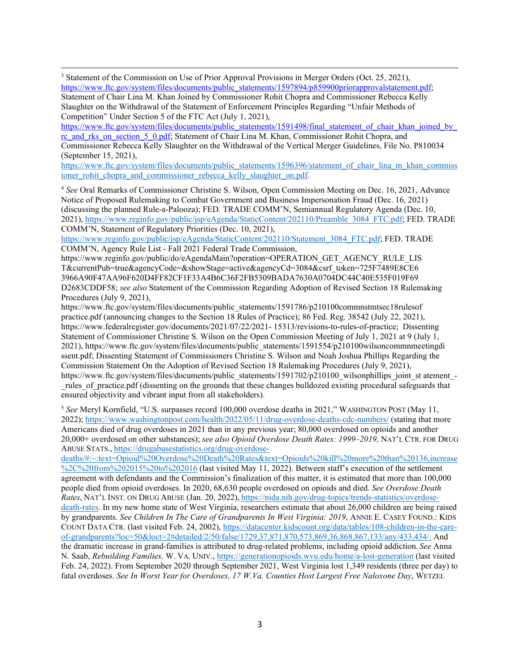<span id="page-2-0"></span><sup>3</sup> Statement of the Commission on Use of Prior Approval Provisions in Merger Orders (Oct. 25, 2021), [https://www.ftc.gov/system/files/documents/public\\_statements/1597894/p859900priorapprovalstatement.pdf;](https://www.ftc.gov/system/files/documents/public_statements/1597894/p859900priorapprovalstatement.pdf)

Statement of Chair Lina M. Khan Joined by Commissioner Rohit Chopra and Commissioner Rebecca Kelly Slaughter on the Withdrawal of the Statement of Enforcement Principles Regarding "Unfair Methods of Competition" Under Section 5 of the FTC Act (July 1, 2021),

https://www.ftc.gov/system/files/documents/public\_statements/1591498/final\_statement\_of\_chair\_khan\_joined\_by [rc\\_and\\_rks\\_on\\_section\\_5\\_0.pdf;](https://www.ftc.gov/system/files/documents/public_statements/1591498/final_statement_of_chair_khan_joined_by_rc_and_rks_on_section_5_0.pdf) Statement of Chair Lina M. Khan, Commissioner Rohit Chopra, and Commissioner Rebecca Kelly Slaughter on the Withdrawal of the Vertical Merger Guidelines, File No. P810034 (September 15, 2021),

[https://www.ftc.gov/system/files/documents/public\\_statements/1596396/statement\\_of\\_chair\\_lina\\_m\\_khan\\_commiss](https://www.ftc.gov/system/files/documents/public_statements/1596396/statement_of_chair_lina_m_khan_commissioner_rohit_chopra_and_commissioner_rebecca_kelly_slaughter_on.pdf) ioner rohit chopra and commissioner rebecca kelly slaughter on.pdf.

<span id="page-2-1"></span><sup>4</sup> *See* Oral Remarks of Commissioner Christine S. Wilson, Open Commission Meeting on Dec. 16, 2021, Advance Notice of Proposed Rulemaking to Combat Government and Business Impersonation Fraud (Dec. 16, 2021) (discussing the planned Rule-a-Palooza); FED. TRADE COMM'N, Semiannual Regulatory Agenda (Dec. 10, 2021), [https://www.reginfo.gov/public/jsp/eAgenda/StaticContent/202110/Preamble\\_3084\\_FTC.pdf;](https://www.reginfo.gov/public/jsp/eAgenda/StaticContent/202110/Preamble_3084_FTC.pdf) FED. TRADE COMM'N, Statement of Regulatory Priorities (Dec. 10, 2021),

[https://www.reginfo.gov/public/jsp/eAgenda/StaticContent/202110/Statement\\_3084\\_FTC.pdf;](https://www.reginfo.gov/public/jsp/eAgenda/StaticContent/202110/Statement_3084_FTC.pdf) FED. TRADE COMM'N, Agency Rule List - Fall 2021 Federal Trade Commission,

https://www.reginfo.gov/public/do/eAgendaMain?operation=OPERATION\_GET\_AGENCY\_RULE\_LIS T&currentPub=true&agencyCode=&showStage=active&agencyCd=3084&csrf\_token=725F7489E8CE6 3966A90F47AA96F620D4FF82CF1F33A4B6C36F2FB5309BADA7630A0704DC44C40E535F019F69 D2683CDDF58; *see also* Statement of the Commission Regarding Adoption of Revised Section 18 Rulemaking Procedures (July 9, 2021),

https://www.ftc.gov/system/files/documents/public\_statements/1591786/p210100commnstmtsec18rulesof practice.pdf (announcing changes to the Section 18 Rules of Practice); 86 Fed. Reg. 38542 (July 22, 2021), https://www.federalregister.gov/documents/2021/07/22/2021- 15313/revisions-to-rules-of-practice; Dissenting Statement of Commissioner Christine S. Wilson on the Open Commission Meeting of July 1, 2021 at 9 (July 1, 2021), https://www.ftc.gov/system/files/documents/public\_statements/1591554/p210100wilsoncommnmeetingdi ssent.pdf; Dissenting Statement of Commissioners Christine S. Wilson and Noah Joshua Phillips Regarding the Commission Statement On the Adoption of Revised Section 18 Rulemaking Procedures (July 9, 2021),

https://www.ftc.gov/system/files/documents/public\_statements/1591702/p210100\_wilsonphillips\_joint\_st atement\_-\_rules\_of\_practice.pdf (dissenting on the grounds that these changes bulldozed existing procedural safeguards that ensured objectivity and vibrant input from all stakeholders).

<span id="page-2-2"></span><sup>5</sup> *See* Meryl Kornfield, "U.S. surpasses record 100,000 overdose deaths in 2021," WASHINGTON POST (May 11, 2022)[; https://www.washingtonpost.com/health/2022/05/11/drug-overdose-deaths-cdc-numbers/](https://www.washingtonpost.com/health/2022/05/11/drug-overdose-deaths-cdc-numbers/) (stating that more Americans died of drug overdoses in 2021 than in any previous year; 80,000 overdosed on opioids and another 20,000+ overdosed on other substances); *see also Opioid Overdose Death Rates: 1999–2019,* NAT'L CTR. FOR DRUG ABUSE STATS., [https://drugabusestatistics.org/drug-overdose-](https://drugabusestatistics.org/drug-overdose-deaths/#:%7E:text=Opioid%20Overdose%20Death%20Rates&text=Opioids%20kill%20more%20than%20136,increase%2C%20from%202015%20to%202016)

[deaths/#:~:text=Opioid%20Overdose%20Death%20Rates&text=Opioids%20kill%20more%20than%20136,increase](https://drugabusestatistics.org/drug-overdose-deaths/#:%7E:text=Opioid%20Overdose%20Death%20Rates&text=Opioids%20kill%20more%20than%20136,increase%2C%20from%202015%20to%202016) [%2C%20from%202015%20to%202016](https://drugabusestatistics.org/drug-overdose-deaths/#:%7E:text=Opioid%20Overdose%20Death%20Rates&text=Opioids%20kill%20more%20than%20136,increase%2C%20from%202015%20to%202016) (last visited May 11, 2022). Between staff's execution of the settlement agreement with defendants and the Commission's finalization of this matter, it is estimated that more than 100,000 people died from opioid overdoses. In 2020, 68,630 people overdosed on opioids and died. *See Overdose Death Rates*, NAT'L INST. ON DRUG ABUSE (Jan. 20, 2022), [https://nida.nih.gov/drug-topics/trends-statistics/overdose](https://nida.nih.gov/drug-topics/trends-statistics/overdose-death-rates)[death-rates.](https://nida.nih.gov/drug-topics/trends-statistics/overdose-death-rates) In my new home state of West Virginia, researchers estimate that about 26,000 children are being raised by grandparents. *See Children In The Care of Grandparents In West Virginia: 2019*, ANNIE E. CASEY FOUND.: KIDS COUNT DATA CTR. (last visited Feb. 24, 2002)[, https://datacenter.kidscount.org/data/tables/108-children-in-the-care](https://datacenter.kidscount.org/data/tables/108-children-in-the-care-of-grandparents?loc=50&loct=2#detailed/2/50/false/1729,37,871,870,573,869,36,868,867,133/any/433,434/)[of-grandparents?loc=50&loct=2#detailed/2/50/false/1729,37,871,870,573,869,36,868,867,133/any/433,434/.](https://datacenter.kidscount.org/data/tables/108-children-in-the-care-of-grandparents?loc=50&loct=2#detailed/2/50/false/1729,37,871,870,573,869,36,868,867,133/any/433,434/) And the dramatic increase in grand-families is attributed to drug-related problems, including opioid addiction. *See* Anna N. Saab, *Rebuilding Families,* W. VA. UNIV.,<https://generationopioids.wvu.edu/home/a-lost-generation> (last visited Feb. 24, 2022). From September 2020 through September 2021, West Virginia lost 1,349 residents (three per day) to fatal overdoses. *See In Worst Year for Overdoses, 17 W.Va. Counties Host Largest Free Naloxone Day*, WETZEL